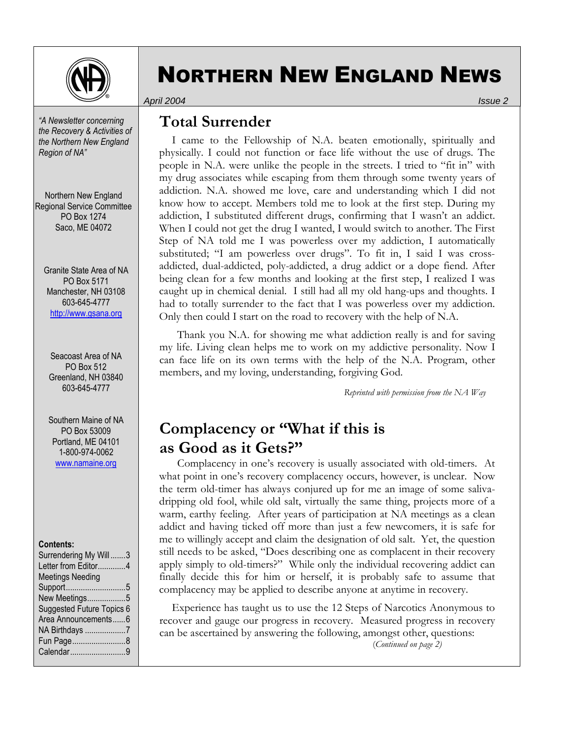

*"A Newsletter concerning the Recovery & Activities of the Northern New England* 

Northern New England Regional Service Committee PO Box 1274 Saco, ME 04072

*Region of NA"* 

# NORTHERN NEW ENGLAND NEWS

*April 2004 Issue 2*

## **Total Surrender**

I came to the Fellowship of N.A. beaten emotionally, spiritually and physically. I could not function or face life without the use of drugs. The people in N.A. were unlike the people in the streets. I tried to "fit in" with my drug associates while escaping from them through some twenty years of addiction. N.A. showed me love, care and understanding which I did not know how to accept. Members told me to look at the first step. During my addiction, I substituted different drugs, confirming that I wasn't an addict. When I could not get the drug I wanted, I would switch to another. The First Step of NA told me I was powerless over my addiction, I automatically substituted; "I am powerless over drugs". To fit in, I said I was crossaddicted, dual-addicted, poly-addicted, a drug addict or a dope fiend. After being clean for a few months and looking at the first step, I realized I was caught up in chemical denial. I still had all my old hang-ups and thoughts. I had to totally surrender to the fact that I was powerless over my addiction. Only then could I start on the road to recovery with the help of N.A.

 Thank you N.A. for showing me what addiction really is and for saving my life. Living clean helps me to work on my addictive personality. Now I can face life on its own terms with the help of the N.A. Program, other members, and my loving, understanding, forgiving God.

*Reprinted with permission from the NA Way*

## **Complacency or "What if this is as Good as it Gets?"**

Complacency in one's recovery is usually associated with old-timers. At what point in one's recovery complacency occurs, however, is unclear. Now the term old-timer has always conjured up for me an image of some salivadripping old fool, while old salt, virtually the same thing, projects more of a warm, earthy feeling. After years of participation at NA meetings as a clean addict and having ticked off more than just a few newcomers, it is safe for me to willingly accept and claim the designation of old salt. Yet, the question still needs to be asked, "Does describing one as complacent in their recovery apply simply to old-timers?" While only the individual recovering addict can finally decide this for him or herself, it is probably safe to assume that complacency may be applied to describe anyone at anytime in recovery.

 Experience has taught us to use the 12 Steps of Narcotics Anonymous to recover and gauge our progress in recovery. Measured progress in recovery can be ascertained by answering the following, amongst other, questions: (*Continued on page 2)* 

Granite State Area of NA PO Box 5171 Manchester, NH 03108 603-645-4777 http://www.gsana.org

Seacoast Area of NA PO Box 512 Greenland, NH 03840 603-645-4777

Southern Maine of NA PO Box 53009 Portland, ME 04101 1-800-974-0062 www.namaine.org

### **Contents:**

| Surrendering My Will3     |
|---------------------------|
| Letter from Editor4       |
| <b>Meetings Needing</b>   |
| Support5                  |
| New Meetings5             |
| Suggested Future Topics 6 |
| Area Announcements6       |
| NA Birthdays 7            |
| Fun Page8                 |
| Calendar9                 |
|                           |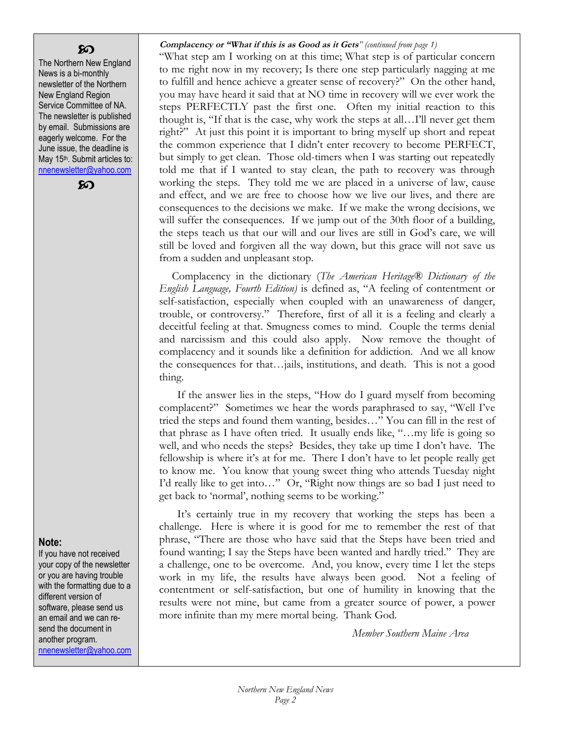### ဢ

The Northern New England News is a bi-monthly newsletter of the Northern New England Region Service Committee of NA. The newsletter is published by email. Submissions are eagerly welcome. For the June issue, the deadline is May 15th. Submit articles to: nnenewsletter@yahoo.com

ဢ

### **Note:**

If you have not received your copy of the newsletter or you are having trouble with the formatting due to a different version of software, please send us an email and we can resend the document in another program. nnenewsletter@yahoo.com

### **Complacency or "What if this is as Good as it Gets***" (continued from page 1)*

"What step am I working on at this time; What step is of particular concern to me right now in my recovery; Is there one step particularly nagging at me to fulfill and hence achieve a greater sense of recovery?" On the other hand, you may have heard it said that at NO time in recovery will we ever work the steps PERFECTLY past the first one. Often my initial reaction to this thought is, "If that is the case, why work the steps at all…I'll never get them right?" At just this point it is important to bring myself up short and repeat the common experience that I didn't enter recovery to become PERFECT, but simply to get clean. Those old-timers when I was starting out repeatedly told me that if I wanted to stay clean, the path to recovery was through working the steps. They told me we are placed in a universe of law, cause and effect, and we are free to choose how we live our lives, and there are consequences to the decisions we make. If we make the wrong decisions, we will suffer the consequences. If we jump out of the 30th floor of a building, the steps teach us that our will and our lives are still in God's care, we will still be loved and forgiven all the way down, but this grace will not save us from a sudden and unpleasant stop.

Complacency in the dictionary (*The American Heritage® Dictionary of the English Language, Fourth Edition)* is defined as, "A feeling of contentment or self-satisfaction, especially when coupled with an unawareness of danger, trouble, or controversy." Therefore, first of all it is a feeling and clearly a deceitful feeling at that. Smugness comes to mind. Couple the terms denial and narcissism and this could also apply. Now remove the thought of complacency and it sounds like a definition for addiction. And we all know the consequences for that…jails, institutions, and death. This is not a good thing.

 If the answer lies in the steps, "How do I guard myself from becoming complacent?" Sometimes we hear the words paraphrased to say, "Well I've tried the steps and found them wanting, besides…" You can fill in the rest of that phrase as I have often tried. It usually ends like, "…my life is going so well, and who needs the steps? Besides, they take up time I don't have. The fellowship is where it's at for me. There I don't have to let people really get to know me. You know that young sweet thing who attends Tuesday night I'd really like to get into…" Or, "Right now things are so bad I just need to get back to 'normal', nothing seems to be working."

 It's certainly true in my recovery that working the steps has been a challenge. Here is where it is good for me to remember the rest of that phrase, "There are those who have said that the Steps have been tried and found wanting; I say the Steps have been wanted and hardly tried." They are a challenge, one to be overcome. And, you know, every time I let the steps work in my life, the results have always been good. Not a feeling of contentment or self-satisfaction, but one of humility in knowing that the results were not mine, but came from a greater source of power, a power more infinite than my mere mortal being. Thank God.

*Member Southern Maine Area*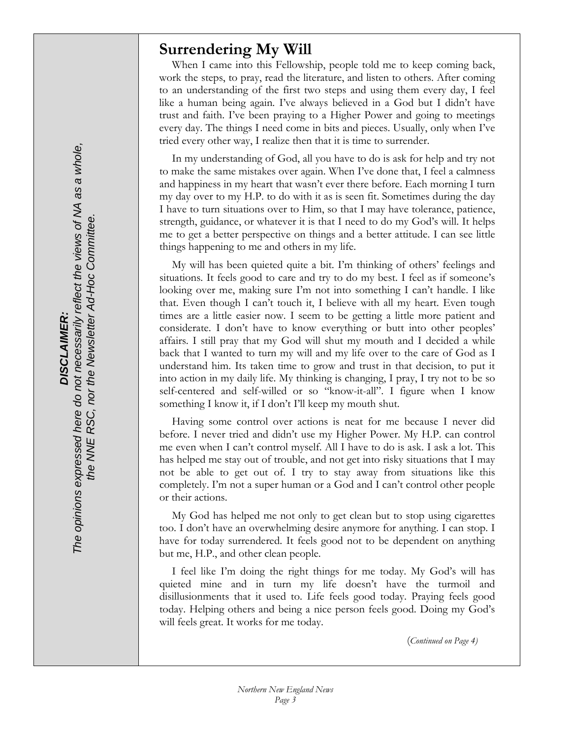## **Surrendering My Will**

When I came into this Fellowship, people told me to keep coming back, work the steps, to pray, read the literature, and listen to others. After coming to an understanding of the first two steps and using them every day, I feel like a human being again. I've always believed in a God but I didn't have trust and faith. I've been praying to a Higher Power and going to meetings every day. The things I need come in bits and pieces. Usually, only when I've tried every other way, I realize then that it is time to surrender.

 In my understanding of God, all you have to do is ask for help and try not to make the same mistakes over again. When I've done that, I feel a calmness and happiness in my heart that wasn't ever there before. Each morning I turn my day over to my H.P. to do with it as is seen fit. Sometimes during the day I have to turn situations over to Him, so that I may have tolerance, patience, strength, guidance, or whatever it is that I need to do my God's will. It helps me to get a better perspective on things and a better attitude. I can see little things happening to me and others in my life.

 My will has been quieted quite a bit. I'm thinking of others' feelings and situations. It feels good to care and try to do my best. I feel as if someone's looking over me, making sure I'm not into something I can't handle. I like that. Even though I can't touch it, I believe with all my heart. Even tough times are a little easier now. I seem to be getting a little more patient and considerate. I don't have to know everything or butt into other peoples' affairs. I still pray that my God will shut my mouth and I decided a while back that I wanted to turn my will and my life over to the care of God as I understand him. Its taken time to grow and trust in that decision, to put it into action in my daily life. My thinking is changing, I pray, I try not to be so self-centered and self-willed or so "know-it-all". I figure when I know something I know it, if I don't I'll keep my mouth shut.

 Having some control over actions is neat for me because I never did before. I never tried and didn't use my Higher Power. My H.P. can control me even when I can't control myself. All I have to do is ask. I ask a lot. This has helped me stay out of trouble, and not get into risky situations that I may not be able to get out of. I try to stay away from situations like this completely. I'm not a super human or a God and I can't control other people or their actions.

 My God has helped me not only to get clean but to stop using cigarettes too. I don't have an overwhelming desire anymore for anything. I can stop. I have for today surrendered. It feels good not to be dependent on anything but me, H.P., and other clean people.

 I feel like I'm doing the right things for me today. My God's will has quieted mine and in turn my life doesn't have the turmoil and disillusionments that it used to. Life feels good today. Praying feels good today. Helping others and being a nice person feels good. Doing my God's will feels great. It works for me today.

(*Continued on Page 4)*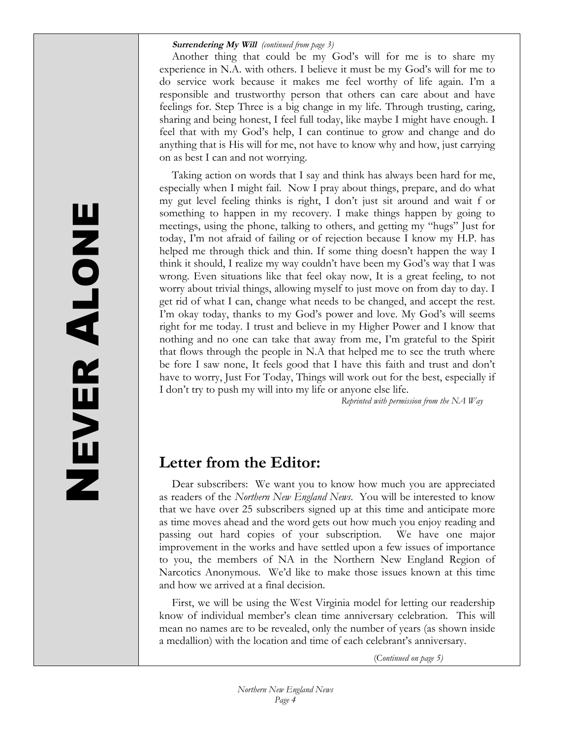### **Surrendering My Will** *(continued from page 3)*

 Another thing that could be my God's will for me is to share my experience in N.A. with others. I believe it must be my God's will for me to do service work because it makes me feel worthy of life again. I'm a responsible and trustworthy person that others can care about and have feelings for. Step Three is a big change in my life. Through trusting, caring, sharing and being honest, I feel full today, like maybe I might have enough. I feel that with my God's help, I can continue to grow and change and do anything that is His will for me, not have to know why and how, just carrying on as best I can and not worrying.

 Taking action on words that I say and think has always been hard for me, especially when I might fail. Now I pray about things, prepare, and do what my gut level feeling thinks is right, I don't just sit around and wait f or something to happen in my recovery. I make things happen by going to meetings, using the phone, talking to others, and getting my "hugs" Just for today, I'm not afraid of failing or of rejection because I know my H.P. has helped me through thick and thin. If some thing doesn't happen the way I think it should, I realize my way couldn't have been my God's way that I was wrong. Even situations like that feel okay now, It is a great feeling, to not worry about trivial things, allowing myself to just move on from day to day. I get rid of what I can, change what needs to be changed, and accept the rest. I'm okay today, thanks to my God's power and love. My God's will seems right for me today. I trust and believe in my Higher Power and I know that nothing and no one can take that away from me, I'm grateful to the Spirit that flows through the people in N.A that helped me to see the truth where be fore I saw none, It feels good that I have this faith and trust and don't have to worry, Just For Today, Things will work out for the best, especially if I don't try to push my will into my life or anyone else life.

*Reprinted with permission from the NA Way*

## **Letter from the Editor:**

 Dear subscribers: We want you to know how much you are appreciated as readers of the *Northern New England News*. You will be interested to know that we have over 25 subscribers signed up at this time and anticipate more as time moves ahead and the word gets out how much you enjoy reading and passing out hard copies of your subscription. We have one major improvement in the works and have settled upon a few issues of importance to you, the members of NA in the Northern New England Region of Narcotics Anonymous. We'd like to make those issues known at this time and how we arrived at a final decision.

 First, we will be using the West Virginia model for letting our readership know of individual member's clean time anniversary celebration. This will mean no names are to be revealed, only the number of years (as shown inside a medallion) with the location and time of each celebrant's anniversary.

(C*ontinued on page 5)*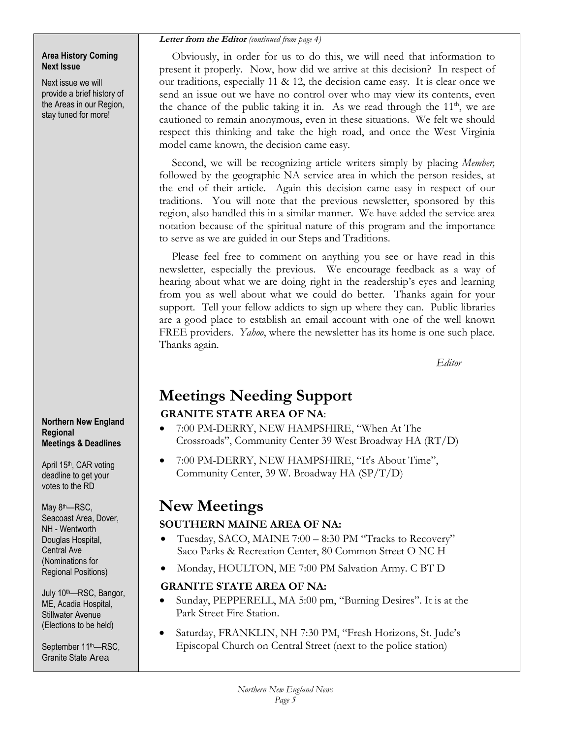### **Letter from the Editor** *(continued from page 4)*

### **Area History Coming Next Issue**

Next issue we will provide a brief history of the Areas in our Region, stay tuned for more!

#### **Northern New England Regional Meetings & Deadlines**

April 15th, CAR voting deadline to get your votes to the RD

May 8<sup>th</sup>—RSC. Seacoast Area, Dover, NH - Wentworth Douglas Hospital, Central Ave (Nominations for Regional Positions)

July 10th—RSC, Bangor, ME, Acadia Hospital, Stillwater Avenue (Elections to be held)

September 11<sup>th</sup>—RSC, Granite State Area

 Obviously, in order for us to do this, we will need that information to present it properly. Now, how did we arrive at this decision? In respect of our traditions, especially 11 & 12, the decision came easy. It is clear once we send an issue out we have no control over who may view its contents, even the chance of the public taking it in. As we read through the  $11<sup>th</sup>$ , we are cautioned to remain anonymous, even in these situations. We felt we should respect this thinking and take the high road, and once the West Virginia model came known, the decision came easy.

 Second, we will be recognizing article writers simply by placing *Member,*  followed by the geographic NA service area in which the person resides, at the end of their article. Again this decision came easy in respect of our traditions. You will note that the previous newsletter, sponsored by this region, also handled this in a similar manner. We have added the service area notation because of the spiritual nature of this program and the importance to serve as we are guided in our Steps and Traditions.

 Please feel free to comment on anything you see or have read in this newsletter, especially the previous. We encourage feedback as a way of hearing about what we are doing right in the readership's eyes and learning from you as well about what we could do better. Thanks again for your support. Tell your fellow addicts to sign up where they can. Public libraries are a good place to establish an email account with one of the well known FREE providers. *Yahoo*, where the newsletter has its home is one such place. Thanks again.

*Editor* 

# **Meetings Needing Support**

### **GRANITE STATE AREA OF NA**:

- 7:00 PM-DERRY, NEW HAMPSHIRE, "When At The Crossroads", Community Center 39 West Broadway HA (RT/D)
- 7:00 PM-DERRY, NEW HAMPSHIRE, "It's About Time", Community Center, 39 W. Broadway HA (SP/T/D)

# **New Meetings**

### **SOUTHERN MAINE AREA OF NA:**

- Tuesday, SACO, MAINE 7:00 8:30 PM "Tracks to Recovery" Saco Parks & Recreation Center, 80 Common Street O NC H
- Monday, HOULTON, ME 7:00 PM Salvation Army. C BT D

### **GRANITE STATE AREA OF NA:**

- Sunday, PEPPERELL, MA 5:00 pm, "Burning Desires". It is at the Park Street Fire Station.
- Saturday, FRANKLIN, NH 7:30 PM, "Fresh Horizons, St. Jude's Episcopal Church on Central Street (next to the police station)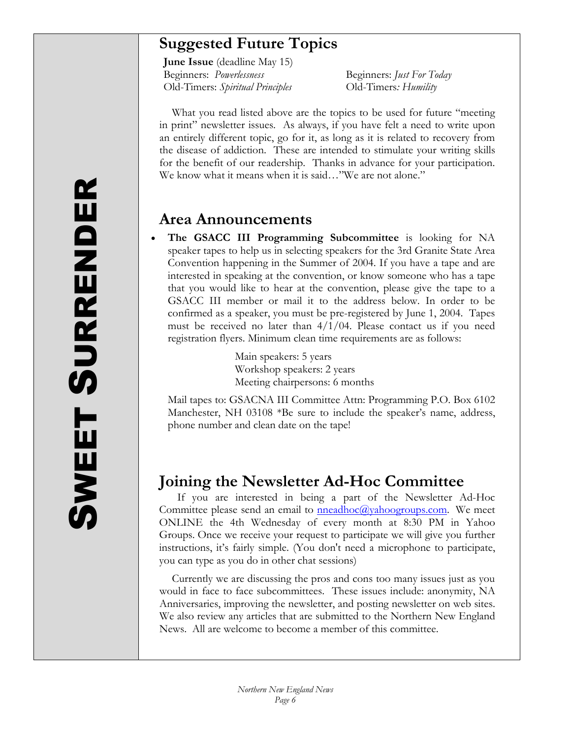## **Suggested Future Topics**

 **June Issue** (deadline May 15) Beginners: *Powerlessness* Beginners: *Just For Today* Old-Timers: *Spiritual Principles* Old-Timers*: Humility*

 What you read listed above are the topics to be used for future "meeting in print" newsletter issues. As always, if you have felt a need to write upon an entirely different topic, go for it, as long as it is related to recovery from the disease of addiction. These are intended to stimulate your writing skills for the benefit of our readership. Thanks in advance for your participation. We know what it means when it is said…"We are not alone."

### **Area Announcements**

• **The GSACC III Programming Subcommittee** is looking for NA speaker tapes to help us in selecting speakers for the 3rd Granite State Area Convention happening in the Summer of 2004. If you have a tape and are interested in speaking at the convention, or know someone who has a tape that you would like to hear at the convention, please give the tape to a GSACC III member or mail it to the address below. In order to be confirmed as a speaker, you must be pre-registered by June 1, 2004. Tapes must be received no later than  $4/1/04$ . Please contact us if you need registration flyers. Minimum clean time requirements are as follows:

> Main speakers: 5 years Workshop speakers: 2 years Meeting chairpersons: 6 months

Mail tapes to: GSACNA III Committee Attn: Programming P.O. Box 6102 Manchester, NH 03108 \*Be sure to include the speaker's name, address, phone number and clean date on the tape!

## **Joining the Newsletter Ad-Hoc Committee**

 If you are interested in being a part of the Newsletter Ad-Hoc Committee please send an email to  $n$ eneadhoc $\alpha$ yahoogroups.com. We meet ONLINE the 4th Wednesday of every month at 8:30 PM in Yahoo Groups. Once we receive your request to participate we will give you further instructions, it's fairly simple. (You don't need a microphone to participate, you can type as you do in other chat sessions)

Currently we are discussing the pros and cons too many issues just as you would in face to face subcommittees. These issues include: anonymity, NA Anniversaries, improving the newsletter, and posting newsletter on web sites. We also review any articles that are submitted to the Northern New England News. All are welcome to become a member of this committee.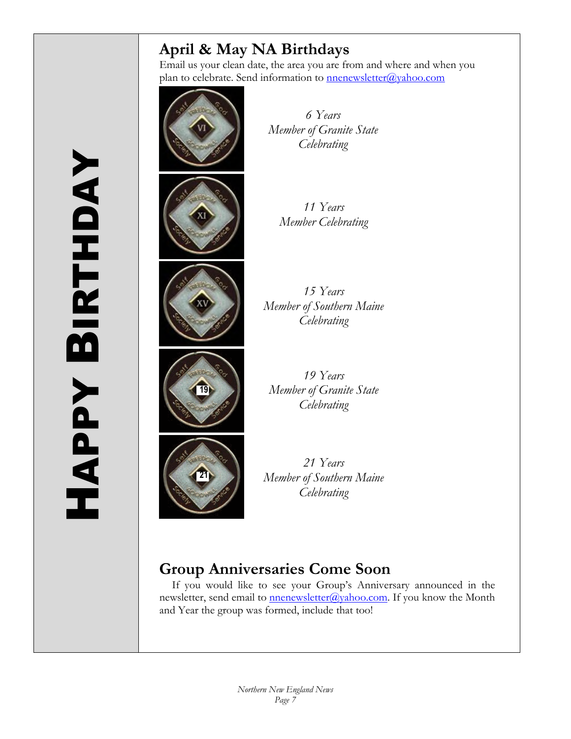## **April & May NA Birthdays**

Email us your clean date, the area you are from and where and when you plan to celebrate. Send information to **nnenewsletter@yahoo.com** 







**21** 

*6 Years Member of Granite State Celebrating* 

> *11 Years Member Celebrating*

*15 Years Member of Southern Maine Celebrating* 

*19 Years Member of Granite State Celebrating* 

*21 Years Member of Southern Maine Celebrating* 

# **Group Anniversaries Come Soon**

 If you would like to see your Group's Anniversary announced in the newsletter, send email to  $\frac{nnenewsletter(\hat{a})\times1000}{1}$ . If you know the Month and Year the group was formed, include that too!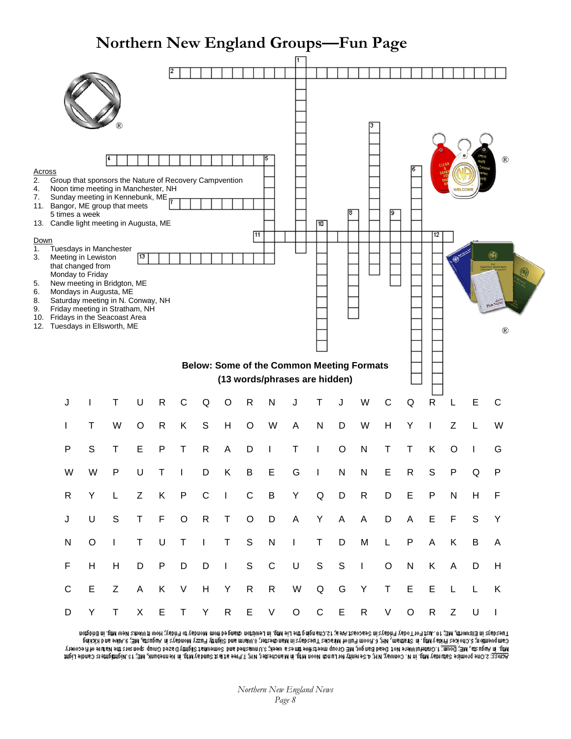## **Northern New England Groups—Fun Page**



Tuesdays in Elikumy 10.wet ForToday Finaysin Seacoast Area 101 the Mill in Lewiston diangled from Monday to Finay in the Area in formation in the Finay in the Finay in the Finay in the Area in The Area in The Area in The A Самый в спосе с ЭМ дачаром да сурьом узыв успешной сурьовой пассовения и сурьов на даже умерт с для сый захопо за ответность while with the Distribution of the Not Dead Ban Joy, ME Group meen and as well; all the particle of the Distribution and Source of Records of Records of Records of Records of Records (Source Applied Applied Applied Applied <u>Moti shnac zamotnoj kraljen i komu se na ovo konumeracije i transkom komunističnoj kamenoj kraljenom kraljenom strume Light i transljenom strume i grad</u>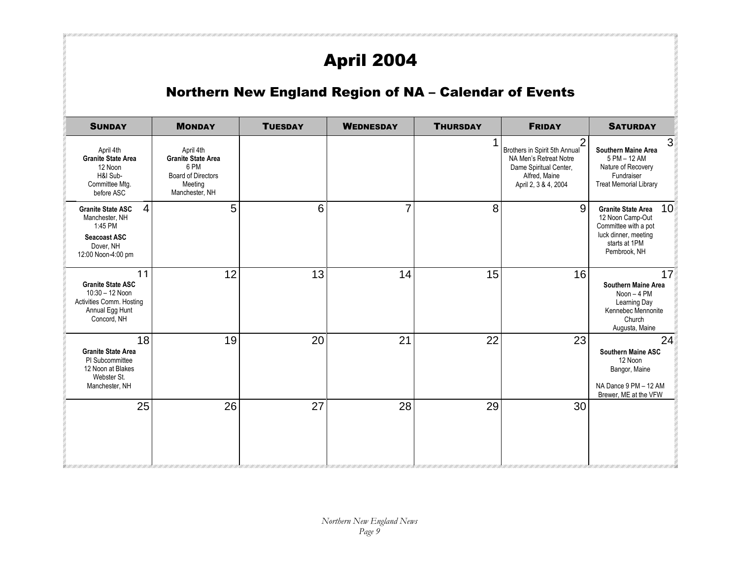# April 2004

CART / WAT / ART / ART / WAT / ART / ART / ART / ART / ART / ART / ART / ART / WAT / WAT / ART / ART / ART / A

## Northern New England Region of NA – Calendar of Events

| <b>SUNDAY</b>                                                                                                                     | <b>MONDAY</b>                                                                                            | <b>TUESDAY</b> | <b>WEDNESDAY</b> | <b>THURSDAY</b> | <b>FRIDAY</b>                                                                                                                                | <b>SATURDAY</b>                                                                                                                                   |
|-----------------------------------------------------------------------------------------------------------------------------------|----------------------------------------------------------------------------------------------------------|----------------|------------------|-----------------|----------------------------------------------------------------------------------------------------------------------------------------------|---------------------------------------------------------------------------------------------------------------------------------------------------|
| April 4th<br><b>Granite State Area</b><br>12 Noon<br>H&I Sub-<br>Committee Mtg.<br>before ASC                                     | April 4th<br><b>Granite State Area</b><br>6 PM<br><b>Board of Directors</b><br>Meeting<br>Manchester, NH |                |                  | 1               | $\overline{2}$<br>Brothers in Spirit 5th Annual<br>NA Men's Retreat Notre<br>Dame Spiritual Center,<br>Alfred, Maine<br>April 2, 3 & 4, 2004 | 3<br>Southern Maine Area<br>5 PM - 12 AM<br>Nature of Recovery<br>Fundraiser<br><b>Treat Memorial Library</b>                                     |
| $\overline{4}$<br><b>Granite State ASC</b><br>Manchester, NH<br>1:45 PM<br><b>Seacoast ASC</b><br>Dover, NH<br>12:00 Noon-4:00 pm | 5                                                                                                        | 6              | $\overline{7}$   | 8               | 9                                                                                                                                            | 10 <sup>1</sup><br><b>Granite State Area</b><br>12 Noon Camp-Out<br>Committee with a pot<br>luck dinner, meeting<br>starts at 1PM<br>Pembrook, NH |
| 11<br><b>Granite State ASC</b><br>10:30 - 12 Noon<br>Activities Comm. Hosting<br>Annual Egg Hunt<br>Concord, NH                   | 12                                                                                                       | 13             | 14               | 15              | 16                                                                                                                                           | 17<br><b>Southern Maine Area</b><br>Noon $-4$ PM<br>Learning Day<br>Kennebec Mennonite<br>Church<br>Augusta, Maine                                |
| 18<br><b>Granite State Area</b><br>PI Subcommittee<br>12 Noon at Blakes<br>Webster St.<br>Manchester, NH                          | 19                                                                                                       | 20             | 21               | 22              | 23                                                                                                                                           | 24<br><b>Southern Maine ASC</b><br>12 Noon<br>Bangor, Maine<br>NA Dance 9 PM - 12 AM<br>Brewer, ME at the VFW                                     |
| 25                                                                                                                                | 26                                                                                                       | 27             | 28               | 29              | 30 <sup>°</sup>                                                                                                                              |                                                                                                                                                   |